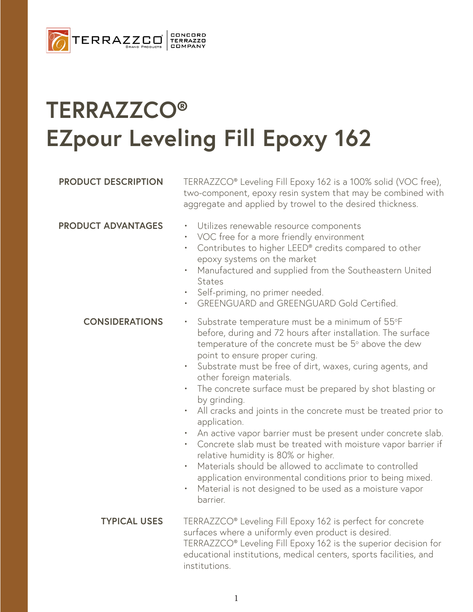

## **TERRAZZCO® EZpour Leveling Fill Epoxy 162**

### **PRODUCT DESCRIPTION** TERRAZZCO<sup>®</sup> Leveling Fill Epoxy 162 is a 100% solid (VOC free), two-component, epoxy resin system that may be combined with aggregate and applied by trowel to the desired thickness. **PRODUCT ADVANTAGES** • Utilizes renewable resource components • VOC free for a more friendly environment • Contributes to higher LEED® credits compared to other epoxy systems on the market • Manufactured and supplied from the Southeastern United **States** • Self-priming, no primer needed. • GREENGUARD and GREENGUARD Gold Certified. • Substrate temperature must be a minimum of 55°F before, during and 72 hours after installation. The surface temperature of the concrete must be  $5^{\circ}$  above the dew point to ensure proper curing. • Substrate must be free of dirt, waxes, curing agents, and other foreign materials. • The concrete surface must be prepared by shot blasting or by grinding. • All cracks and joints in the concrete must be treated prior to application. • An active vapor barrier must be present under concrete slab. • Concrete slab must be treated with moisture vapor barrier if relative humidity is 80% or higher. • Materials should be allowed to acclimate to controlled application environmental conditions prior to being mixed. Material is not designed to be used as a moisture vapor barrier. **CONSIDERATIONS** TERRAZZCO® Leveling Fill Epoxy 162 is perfect for concrete surfaces where a uniformly even product is desired. TERRAZZCO® Leveling Fill Epoxy 162 is the superior decision for educational institutions, medical centers, sports facilities, and institutions. **TYPICAL USES**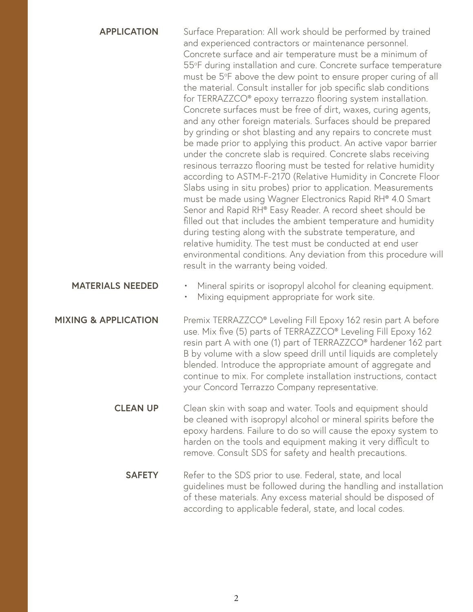| <b>APPLICATION</b>              | Surface Preparation: All work should be performed by trained<br>and experienced contractors or maintenance personnel.<br>Concrete surface and air temperature must be a minimum of<br>55°F during installation and cure. Concrete surface temperature<br>must be 5°F above the dew point to ensure proper curing of all<br>the material. Consult installer for job specific slab conditions<br>for TERRAZZCO <sup>®</sup> epoxy terrazzo flooring system installation.<br>Concrete surfaces must be free of dirt, waxes, curing agents,<br>and any other foreign materials. Surfaces should be prepared<br>by grinding or shot blasting and any repairs to concrete must<br>be made prior to applying this product. An active vapor barrier<br>under the concrete slab is required. Concrete slabs receiving<br>resinous terrazzo flooring must be tested for relative humidity<br>according to ASTM-F-2170 (Relative Humidity in Concrete Floor<br>Slabs using in situ probes) prior to application. Measurements<br>must be made using Wagner Electronics Rapid RH® 4.0 Smart<br>Senor and Rapid RH® Easy Reader. A record sheet should be<br>filled out that includes the ambient temperature and humidity<br>during testing along with the substrate temperature, and<br>relative humidity. The test must be conducted at end user<br>environmental conditions. Any deviation from this procedure will<br>result in the warranty being voided. |
|---------------------------------|----------------------------------------------------------------------------------------------------------------------------------------------------------------------------------------------------------------------------------------------------------------------------------------------------------------------------------------------------------------------------------------------------------------------------------------------------------------------------------------------------------------------------------------------------------------------------------------------------------------------------------------------------------------------------------------------------------------------------------------------------------------------------------------------------------------------------------------------------------------------------------------------------------------------------------------------------------------------------------------------------------------------------------------------------------------------------------------------------------------------------------------------------------------------------------------------------------------------------------------------------------------------------------------------------------------------------------------------------------------------------------------------------------------------------------------------------|
| <b>MATERIALS NEEDED</b>         | Mineral spirits or isopropyl alcohol for cleaning equipment.<br>٠<br>Mixing equipment appropriate for work site.                                                                                                                                                                                                                                                                                                                                                                                                                                                                                                                                                                                                                                                                                                                                                                                                                                                                                                                                                                                                                                                                                                                                                                                                                                                                                                                                   |
| <b>MIXING &amp; APPLICATION</b> | Premix TERRAZZCO® Leveling Fill Epoxy 162 resin part A before<br>use. Mix five (5) parts of TERRAZZCO® Leveling Fill Epoxy 162<br>resin part A with one (1) part of TERRAZZCO <sup>®</sup> hardener 162 part<br>B by volume with a slow speed drill until liquids are completely<br>blended. Introduce the appropriate amount of aggregate and<br>continue to mix. For complete installation instructions, contact<br>your Concord Terrazzo Company representative.                                                                                                                                                                                                                                                                                                                                                                                                                                                                                                                                                                                                                                                                                                                                                                                                                                                                                                                                                                                |
| <b>CLEAN UP</b>                 | Clean skin with soap and water. Tools and equipment should<br>be cleaned with isopropyl alcohol or mineral spirits before the<br>epoxy hardens. Failure to do so will cause the epoxy system to<br>harden on the tools and equipment making it very difficult to<br>remove. Consult SDS for safety and health precautions.                                                                                                                                                                                                                                                                                                                                                                                                                                                                                                                                                                                                                                                                                                                                                                                                                                                                                                                                                                                                                                                                                                                         |
| <b>SAFETY</b>                   | Refer to the SDS prior to use. Federal, state, and local<br>guidelines must be followed during the handling and installation<br>of these materials. Any excess material should be disposed of<br>according to applicable federal, state, and local codes.                                                                                                                                                                                                                                                                                                                                                                                                                                                                                                                                                                                                                                                                                                                                                                                                                                                                                                                                                                                                                                                                                                                                                                                          |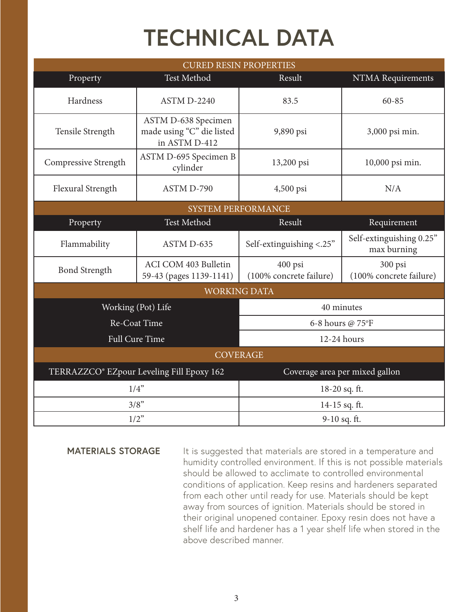# **TECHNICAL DATA**

| <b>CURED RESIN PROPERTIES</b>             |                                                                   |                                    |                                         |  |
|-------------------------------------------|-------------------------------------------------------------------|------------------------------------|-----------------------------------------|--|
| Property                                  | Test Method                                                       | Result                             | NTMA Requirements                       |  |
| Hardness                                  | ASTM D-2240                                                       | 83.5                               | 60-85                                   |  |
| Tensile Strength                          | ASTM D-638 Specimen<br>made using "C" die listed<br>in ASTM D-412 | 9,890 psi                          | 3,000 psi min.                          |  |
| Compressive Strength                      | ASTM D-695 Specimen B<br>cylinder                                 | 13,200 psi                         | 10,000 psi min.                         |  |
| Flexural Strength                         | ASTM D-790                                                        | 4,500 psi                          | N/A                                     |  |
| <b>SYSTEM PERFORMANCE</b>                 |                                                                   |                                    |                                         |  |
| Property                                  | Test Method                                                       | Result                             | Requirement                             |  |
| Flammability                              | ASTM D-635                                                        | Self-extinguishing <.25"           | Self-extinguishing 0.25"<br>max burning |  |
| <b>Bond Strength</b>                      | ACI COM 403 Bulletin<br>59-43 (pages 1139-1141)                   | 400 psi<br>(100% concrete failure) | 300 psi<br>(100% concrete failure)      |  |
| <b>WORKING DATA</b>                       |                                                                   |                                    |                                         |  |
| Working (Pot) Life                        |                                                                   | 40 minutes                         |                                         |  |
| Re-Coat Time                              |                                                                   | 6-8 hours @ 75°F                   |                                         |  |
| <b>Full Cure Time</b>                     |                                                                   | 12-24 hours                        |                                         |  |
| <b>COVERAGE</b>                           |                                                                   |                                    |                                         |  |
| TERRAZZCO® EZpour Leveling Fill Epoxy 162 |                                                                   | Coverage area per mixed gallon     |                                         |  |
| 1/4"                                      |                                                                   | 18-20 sq. ft.                      |                                         |  |
| 3/8"                                      |                                                                   | 14-15 sq. ft.                      |                                         |  |
| $1/2$ "                                   |                                                                   | 9-10 sq. ft.                       |                                         |  |

### **MATERIALS STORAGE**

It is suggested that materials are stored in a temperature and humidity controlled environment. If this is not possible materials should be allowed to acclimate to controlled environmental conditions of application. Keep resins and hardeners separated from each other until ready for use. Materials should be kept away from sources of ignition. Materials should be stored in their original unopened container. Epoxy resin does not have a shelf life and hardener has a 1 year shelf life when stored in the above described manner.